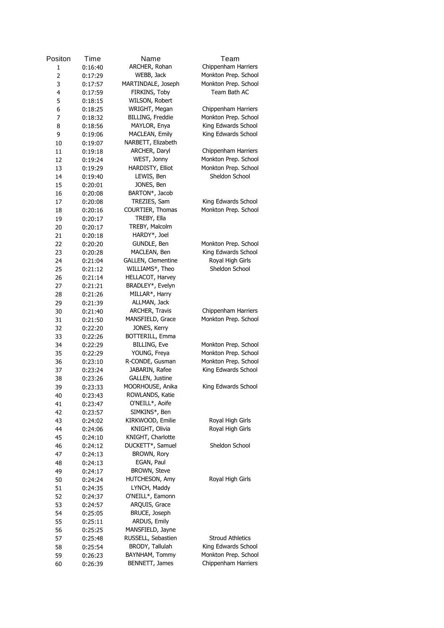| Positon        | Time    | Name                        | Team                    |
|----------------|---------|-----------------------------|-------------------------|
| 1              | 0:16:40 | ARCHER, Rohan               | Chippenham Harriers     |
| $\overline{2}$ | 0:17:29 | WEBB, Jack                  | Monkton Prep. School    |
| 3              | 0:17:57 | MARTINDALE, Joseph          | Monkton Prep. School    |
| 4              | 0:17:59 | FIRKINS, Toby               | Team Bath AC            |
| 5              | 0:18:15 | WILSON, Robert              |                         |
| 6              | 0:18:25 | WRIGHT, Megan               | Chippenham Harriers     |
| 7              | 0:18:32 | BILLING, Freddie            | Monkton Prep. School    |
| 8              | 0:18:56 | MAYLOR, Enya                | King Edwards School     |
| 9              | 0:19:06 | MACLEAN, Emily              | King Edwards School     |
| 10             | 0:19:07 | NARBETT, Elizabeth          |                         |
| 11             | 0:19:18 | ARCHER, Daryl               | Chippenham Harriers     |
| 12             | 0:19:24 | WEST, Jonny                 | Monkton Prep. School    |
| 13             | 0:19:29 | HARDISTY, Elliot            | Monkton Prep. School    |
| 14             | 0:19:40 | LEWIS, Ben                  | Sheldon School          |
| 15             | 0:20:01 | JONES, Ben                  |                         |
| 16             | 0:20:08 | BARTON*, Jacob              |                         |
| 17             | 0:20:08 | TREZIES, Sam                | King Edwards School     |
| 18             | 0:20:16 | COURTIER, Thomas            | Monkton Prep. School    |
| 19             | 0:20:17 | TREBY, Ella                 |                         |
| 20             | 0:20:17 | TREBY, Malcolm              |                         |
| 21             | 0:20:18 | HARDY*, Joel                |                         |
| 22             | 0:20:20 | GUNDLE, Ben                 | Monkton Prep. School    |
| 23             | 0:20:28 | MACLEAN, Ben                | King Edwards School     |
| 24             | 0:21:04 | GALLEN, Clementine          | Royal High Girls        |
| 25             | 0:21:12 | WILLIAMS*, Theo             | Sheldon School          |
| 26             | 0:21:14 | HELLACOT, Harvey            |                         |
| 27             | 0:21:21 | BRADLEY*, Evelyn            |                         |
| 28             | 0:21:26 | MILLAR <sup>*</sup> , Harry |                         |
| 29             | 0:21:39 | ALLMAN, Jack                |                         |
| 30             | 0:21:40 | ARCHER, Travis              | Chippenham Harriers     |
| 31             | 0:21:50 | MANSFIELD, Grace            | Monkton Prep. School    |
| 32             | 0:22:20 | JONES, Kerry                |                         |
| 33             | 0:22:26 | <b>BOTTERILL, Emma</b>      |                         |
| 34             | 0:22:29 | BILLING, Eve                | Monkton Prep. School    |
| 35             | 0:22:29 | YOUNG, Freya                | Monkton Prep. School    |
| 36             | 0:23:10 | R-CONDE, Gusman             | Monkton Prep. School    |
| 37             | 0:23:24 | JABARIN, Rafee              | King Edwards School     |
| 38             | 0:23:26 | GALLEN, Justine             |                         |
| 39             | 0:23:33 | MOORHOUSE, Anika            | King Edwards School     |
| 40             | 0:23:43 | ROWLANDS, Katie             |                         |
| 41             | 0:23:47 | O'NEILL*, Aoife             |                         |
| 42             | 0:23:57 | SIMKINS*, Ben               |                         |
| 43             | 0:24:02 | KIRKWOOD, Emilie            | Royal High Girls        |
| 44             | 0:24:06 | KNIGHT, Olivia              | Royal High Girls        |
| 45             | 0:24:10 | KNIGHT, Charlotte           |                         |
| 46             | 0:24:12 | DUCKETT*, Samuel            | Sheldon School          |
| 47             | 0:24:13 | BROWN, Rory                 |                         |
| 48             | 0:24:13 | EGAN, Paul                  |                         |
| 49             | 0:24:17 | BROWN, Steve                |                         |
| 50             | 0:24:24 | HUTCHESON, Amy              | Royal High Girls        |
| 51             | 0:24:35 | LYNCH, Maddy                |                         |
| 52             | 0:24:37 | O'NEILL*, Eamonn            |                         |
| 53             | 0:24:57 | ARQUIS, Grace               |                         |
| 54             | 0:25:05 | BRUCE, Joseph               |                         |
| 55             | 0:25:11 | ARDUS, Emily                |                         |
| 56             | 0:25:25 | MANSFIELD, Jayne            |                         |
| 57             | 0:25:48 | RUSSELL, Sebastien          | <b>Stroud Athletics</b> |
| 58             | 0:25:54 | BRODY, Tallulah             | King Edwards School     |
| 59             | 0:26:23 | BAYNHAM, Tommy              | Monkton Prep. School    |
| 60             | 0:26:39 | BENNETT, James              | Chippenham Harriers     |